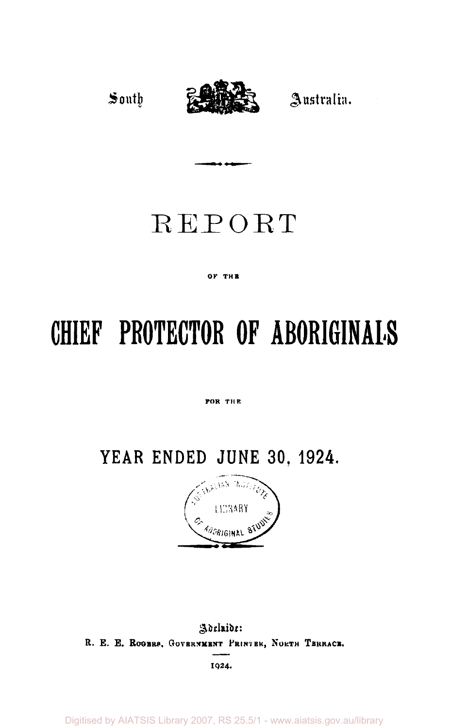South



Australia.

## REPORT

## **OF THB**

# **CHIEF PROTECTOR OF ABORIGINALS**

**FOR THE** 

**YEAR ENDED JUNE 30, 1924.** 



Adelaidi: R. E. E. ROGERS, GOVERNMENT PRINTER, NORTH TERRACE. **I924 .** 

Digitised by AIATSIS Library 2007, RS 25.5/1 - www.aiatsis.gov.au/library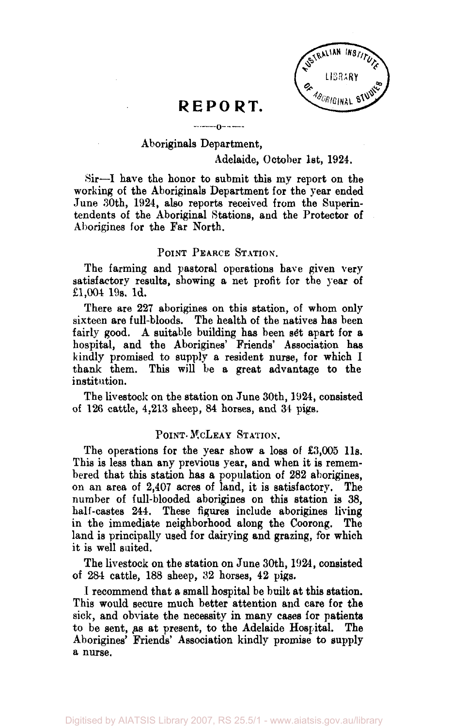

## REPORT.

 $-0-1$ 

## Aboriginals Department,

## Adelaide, October 1st, 1924.

Sir—I have the honor to submit this my report on the working of the Aboriginals Department for the year ended June 30th, 1924, also reports received from the Superintendents of the Aboriginal Stations, and the Protector of Aborigines for the Far North.

## POINT PEARCE STATION.

The farming and pastoral operations have given very satisfactory results, showing a net profit for the year of £1,004 19s. 1d.

There are 227 aborigines on this station, of whom only sixteen are full-bloods. The health of the natives has been fairly good. A suitable building has been set apart for a hospital, and the Aborigines' Friends' Association has kindly promised to supply a resident nurse, for which 1 This will be a great advantage to the institution.

The livestock on the station on June 30th, 1924, consisted of 126 cattle, 4,213 sheep, 84 horses, and 34 pigs.

## POINT- MCLEAY STATION.

The operations for the year show a loss of £3,005 11s. This is less than any previous year, and when it is remembered that this station has a population of 282 aborigines, on an area of 2,407 acres of land, it is satisfactory. The number of full-blooded aborigines on this station is 38, half-castes 244. These figures include aborigines living in the immediate neighborhood along the Coorong. The land is principally used for dairying and grazing, for which it is well suited.

The livestock on the station on June 30th, 1924, consisted of 284 cattle, 188 sheep, 32 horses, 42 pigs.

I recommend that a small hospital be built at this station. This would secure much better attention and care for the sick, and obviate the necessity in many cases for patients to be sent, as at present, to the Adelaide Hospital. The Aborigines' Friends' Association kindly promise to supply a nurse.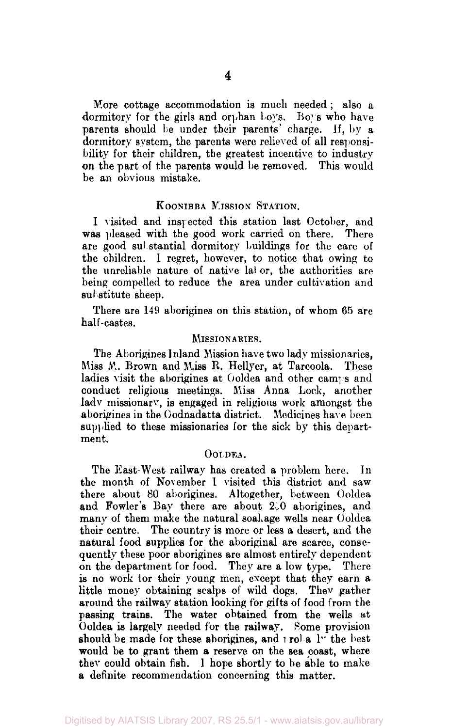More cottage accommodation is much needed ; also a dormitory for the girls and orphan boys. Boys who have parents should be under their parents' charge. If, by a dormitory system, the parents were relieved of all responsibility for their children, the greatest incentive to industry on the part of the parents would be removed. This would be an obvious mistake.

## KOONIBBA MISSION STATION.

I visited and inspected this station last October, and was pleased with the good work carried on there. There are good substantial dormitory buildings for the care of the children. I regret, however, to notice that owing to the unreliable nature of native labor, the authorities are being compelled to reduce the area under cultivation and substitute sheep.

There are 149 aborigines on this station, of whom 65 are half-castes.

## MISSIONARIES.

The Aborigines Inland Mission have two lady missionaries, Miss M. Brown and Miss R. Hellyer, at Tarcoola. These ladies visit the aborigines at Ooldea and other camps and conduct religious meetings. Miss Anna Lock, another lady missionary, is engaged in religious work amongst the aborigines in the Oodnadatta district. Medicines have been supplied to these missionaries for the sick by this department.

## OOLDEA.

The East-West railway has created a problem here. In the month of November 1 visited this district and saw there about 80 aborigines. Altogether, between Ooldea and Fowler's Bay there are about 250 aborigines, and many of them make the natural soakage wells near Ooldea their centre. The country is more or less a desert, and the natural food supplies for the aboriginal are scarce, consequently these poor aborigines are almost entirely dependent on the department for food. They are a low type. There is no work lor their young men, except that they earn a little money obtaining scalps of wild dogs. They gather around the railway station looking for gifts of food from the passing trains. The water obtained from the wells at Ooldea is largely needed for the railway. Rome provision should be made for these aborigines, and  $\lfloor$  rol a  $\lfloor$ <sup>1</sup> the best would be to grant them a reserve on the sea coast, where they could obtain fish. 1 hope shortly to be able to make a definite recommendation concerning this matter.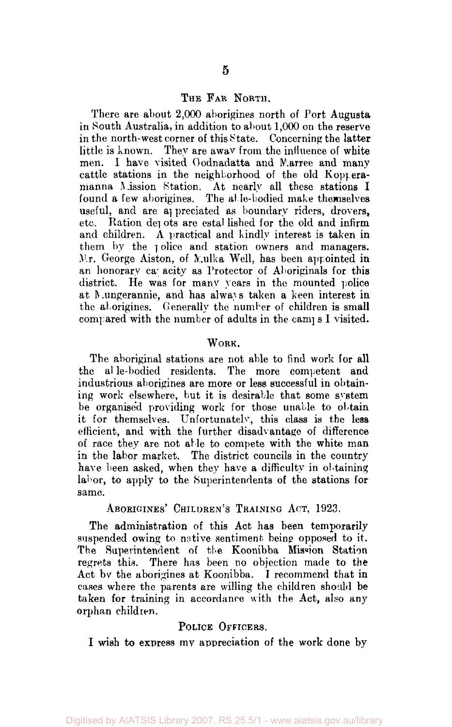## THE FAR NORTH.

There are about 2,000 aborigines north of Port Augusta in South Australia, in addition to about 1,000 on the reserve in the north-west corner of this State. Concerning the latter little is known. They are awav from the influence of white men. I have visited Oodnadatta and Marree and many cattle stations in the neighborhood of the old Kopperamanna Mission Station. At nearly all these stations I found a few aborigines. The alle-bodied make themselves useful, and are appreciated as boundary riders, drovers, etc. Ration depots are estal lished for the old and infirm and children. A practical and kindly interest is taken in them by the police and station owners and managers.  $Mr.$  George Aiston, of Mulka Well, has been appointed in an honorary capacity as Protector of Aboriginals for this district. He was for many years in the mounted police at Mungerannie, and has always taken a keen interest in the aborigines. Generally the number of children is small compared with the number of adults in the camps I visited.

## WORK.

The aboriginal stations are not able to find work for all the able-bodied residents. The more competent and industrious aborigines are more or less successful in obtaining work elsewhere, but it is desirable that some system be organised providing work for those unable to obtain it for themselves. Unfortunately, this class is the less efficient, and with the further disadvantage of difference of race they are not able to compete with the white man in the labor market. The district councils in the country have been asked, when they have a difficulty in obtaining labor, to apply to the Superintendents of the stations for same.

ABORIGINES' CHILDREN'S TRAINING ACT, 1923.

The administration of this Act has been temporarily suspended owing to native sentiment being opposed to it. The Superintendent of the Koonibba Mission Station regrets this. There has been no objection made to the Act by the aborigines at Koonibba. I recommend that in cases where the parents are willing the children should be taken for training in accordance with the Act, also any orphan children.

## POLICE OFFICERS.

I wish to express my appreciation of the work done by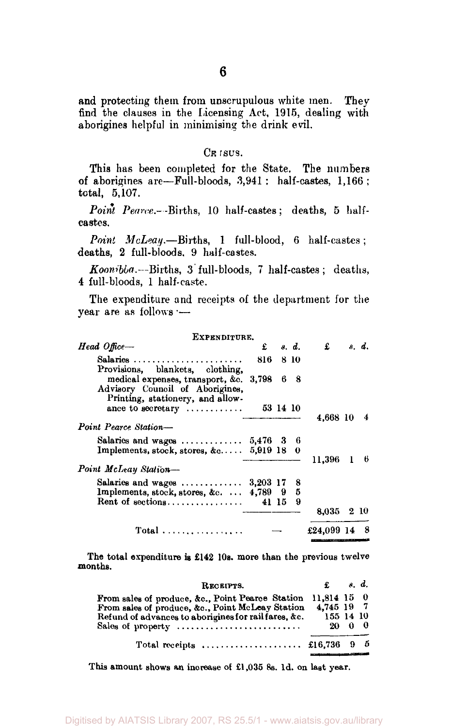and protecting them from unscrupulous white men. They find the clauses in the Licensing Act, 1915, dealing with aborigines helpful in minimising the drink evil.

### CE ISUS.

This has been completed for the State. The numbers of aborigines are—Full-bloods, 3,941 : half-castes, 1,166 ; total, 5,107.

Point Pearce.—Births, 10 half-castes; deaths, 5 halfcastes.

*Point McLeay.*—Births, 1 full-blood, 6 half-castes; deaths, 2 full-bloods, 9 half-castes.

*Koonibba.*—Births, 3 full-bloods, 7 half-castes; deaths, 4 full-bloods, 1 half-caste.

The expenditure and receipts of the department for the year are as follows •—

| EXPENDITURE.<br>Head Office-                                                                                  | £          |          | s. d. | £          | s. d. |
|---------------------------------------------------------------------------------------------------------------|------------|----------|-------|------------|-------|
|                                                                                                               |            |          |       |            |       |
| Salaries $\ldots \ldots \ldots \ldots \ldots \ldots \ldots$<br>Provisions, blankets, clothing,                | 816        |          | 810   |            |       |
| medical expenses, transport, &c. 3,798<br>Advisory Council of Aborigines,<br>Printing, stationery, and allow- |            |          | 68    |            |       |
| ance to secretary $\dots\dots\dots\dots$                                                                      |            | 53 14 10 |       |            |       |
|                                                                                                               |            |          |       | 4,668 10   | 4     |
| Point Pearce Station-                                                                                         |            |          |       |            |       |
| Salaries and wages $\dots\dots\dots\dots$                                                                     | 5,476 3 6  |          |       |            |       |
| Implements, stock, stores, $\&c \ldots$ .                                                                     | 5,919 18 0 |          |       |            |       |
|                                                                                                               |            |          |       | 11.396 1 6 |       |
| Point McLeay Station-                                                                                         |            |          |       |            |       |
| Salaries and wages $\dots\dots\dots\dots$                                                                     | 3,203 17   |          | 8     |            |       |
| Implements, stock, stores, &c.                                                                                | 4,789 9    |          | 5     |            |       |
| Rent of $sections$                                                                                            |            | 41 15    | 9     |            |       |
|                                                                                                               |            |          |       | 8,035 2 10 |       |
| Total                                                                                                         |            |          |       | £24,099 14 | 8     |

The total expenditure is £142 10s. more than the previous twelve months.

| RECEIPTS.                                                                |                         |        | . d. |
|--------------------------------------------------------------------------|-------------------------|--------|------|
| From sales of produce, &c., Point Pearce Station 11,814 15 0             |                         |        |      |
| From sales of produce, &c., Point McLeay Station                         | 4.745 19 7<br>155 14 10 |        |      |
| Refund of advances to aborigines for railfares, &c.<br>Sales of property |                         | 20 0 0 |      |
|                                                                          |                         |        |      |

This amount shows an increase of £1,035 8s. 1d. on last year.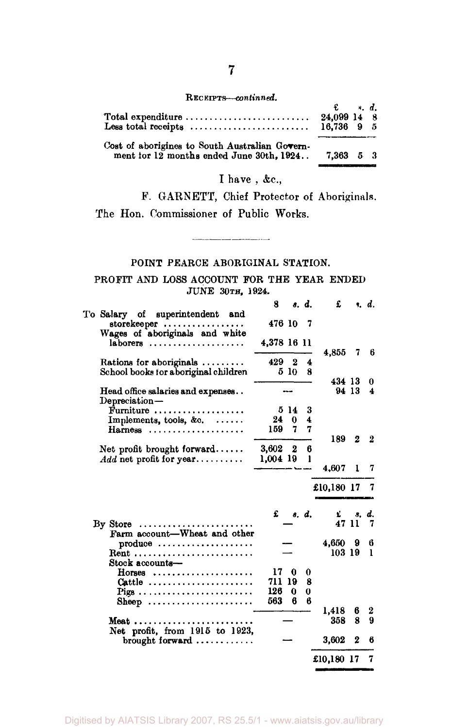#### RECEIPTS—continued*.*

|                                                                   | $\mathbf{E} \qquad \mathbf{s}, \mathbf{d}.$ |  |
|-------------------------------------------------------------------|---------------------------------------------|--|
| Total expenditure $\dots\dots\dots\dots\dots\dots\dots\dots\dots$ | 24.099 14 8                                 |  |
|                                                                   |                                             |  |
| Cost of aborigines to South Australian Govern-                    |                                             |  |
| ment for 12 months ended June 30th, 1924 7,363 5 3                |                                             |  |
|                                                                   |                                             |  |

## I have , &c.,

<u>and the community of the community of the community of the community of the community of the community of the community of the community of the community of the community of the community of the community of the community</u>

P. GARNETT, Chief Protector of Aboriginals. The Hon. Commissioner of Public Works.

## POINT PEARCE ABORIGINAL STATION.

## PROFIT AND LOSS ACCOUNT FOR THE YEAR ENDED JUNE 30TH, 1924.

|                                                                            | 8               |                | s. d.  | £          |        | s. d.  |
|----------------------------------------------------------------------------|-----------------|----------------|--------|------------|--------|--------|
| To Salary of superintendent and<br>storekeeper                             | 476 10          |                | - 7    |            |        |        |
| Wages of aboriginals and white<br>$laborers$                               | 4,378 16 11     |                |        | 4.855      | 7      | 6      |
| Rations for aboriginals $\ldots \ldots$                                    | 429 2           |                | 4      |            |        |        |
| School books for aboriginal children                                       |                 | 510            | я      |            |        |        |
|                                                                            |                 |                |        | 434 13     |        | 0      |
| Head office salaries and expenses<br>Depreciation-                         |                 |                |        |            | 94 13  | 4      |
| Furniture                                                                  |                 | 514            | 3      |            |        |        |
| Implements, tools, &c.                                                     | 24              | $\bf{0}$       | 4      |            |        |        |
| Harness                                                                    | 159 7           |                | 7      |            |        |        |
|                                                                            |                 |                |        | 189        | 2      | 2      |
| Net profit brought forward                                                 | $3.602 \quad 2$ |                | 6      |            |        |        |
| $Add$ net profit for year                                                  | $1,004$ 19      |                | 1      |            |        |        |
|                                                                            |                 |                |        | 4.607      | 1      | 7      |
|                                                                            |                 |                |        | £10,180 17 |        |        |
|                                                                            |                 |                |        |            |        |        |
|                                                                            | £               |                | s. d.  | £.         | З.     | d.     |
| $\rm Bv$ Store                                                             |                 |                |        |            | 47 11  | 7      |
| Farm account-Wheat and other                                               |                 |                |        |            |        |        |
| $produce \dots \dots \dots \dots \dots \dots$                              |                 |                |        | 4,650 9    |        | 6      |
| Rent                                                                       |                 |                |        | 103 19     |        | ı      |
| Stock accounts-                                                            | 17              |                |        |            |        |        |
| $H$ orses                                                                  | 711             | $\bf{0}$       | 0      |            |        |        |
| Cattle                                                                     | 126             | 19<br>$\bf{0}$ | 8<br>0 |            |        |        |
| Pigs                                                                       | 563             | 6              | в      |            |        |        |
| Sheep                                                                      |                 |                |        | 1,418      |        |        |
|                                                                            |                 |                |        | 358        | 6<br>8 | 2<br>9 |
| Meat                                                                       |                 |                |        |            |        |        |
| Net profit, from 1915 to 1923,<br>$brought$ forward $\ldots \ldots \ldots$ |                 |                |        | 3,602      | 2      | 6      |
|                                                                            |                 |                |        | £10,180 17 |        | 7      |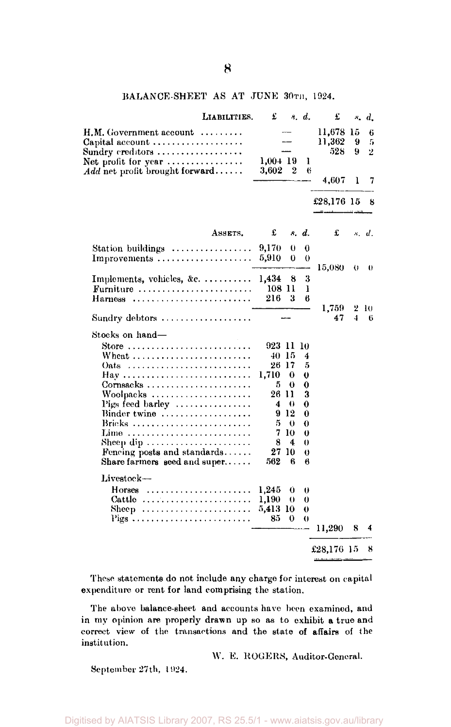## BALANCE-SHEET AS AT JUNE 30TH, 1924.

| LIABILITIES.                                                                                                                                                                                                                                                     | £                                                                                |                                                    | s. d.                                                                      | £                          |        | $\ddot{ }$ $d$           |
|------------------------------------------------------------------------------------------------------------------------------------------------------------------------------------------------------------------------------------------------------------------|----------------------------------------------------------------------------------|----------------------------------------------------|----------------------------------------------------------------------------|----------------------------|--------|--------------------------|
| $\text{H.M. Government account} \hspace{0.5cm} \ldots \ldots \ldots$<br>Capital account<br>$\operatorname{Sundry}\operatorname{ereditors}\dots\dots\dots\dots\dots\dots$                                                                                         | 1,004 19                                                                         |                                                    |                                                                            | 11,678 15<br>11,362<br>528 | 9<br>9 | 6<br>5<br>$\overline{2}$ |
| Net profit for year $\dots\dots\dots\dots\dots\dots$<br>Add net profit brought forward                                                                                                                                                                           | 3,602                                                                            | 2                                                  | ı<br>6                                                                     | 4,607                      | 1      | 7                        |
|                                                                                                                                                                                                                                                                  |                                                                                  |                                                    |                                                                            | £28,176 15                 |        | 8                        |
| ASSETS.                                                                                                                                                                                                                                                          | £                                                                                |                                                    | s. d.                                                                      | £                          |        | s. d.                    |
| Station buildings<br>Improvements                                                                                                                                                                                                                                | 9,170<br>5.910                                                                   | 0<br>0                                             | 0<br>$\theta$                                                              | 15,080                     | 0      | 0                        |
| Implements, vehicles, &c.<br>Furniture<br>Harness                                                                                                                                                                                                                | 1,434<br>108 11<br>216                                                           | 8<br>я                                             | 3<br>ı<br>6                                                                |                            |        |                          |
| Sundry debtors                                                                                                                                                                                                                                                   |                                                                                  |                                                    |                                                                            | 1,759<br>47                | 2<br>4 | - 10<br>6                |
| Stocks on hand—<br>$S$ tore<br>Wheat $\ldots$ $\ldots$ $\ldots$ $\ldots$ $\ldots$ $\ldots$<br>Hay<br>Woolpacks<br>Pigs feed barley<br>Binder twine<br>Brieks<br>Lime<br>Sheep dip<br>Fencing posts and standards<br>Share farmers seed and super<br>$Livestock-$ | 923 11<br>40-15<br>26 17<br>1,710<br>5.<br>26 II<br>4<br>5.<br>8<br>27 10<br>562 | 0<br>0<br>- 0<br>912<br>$\theta$<br>7 10<br>4<br>6 | 10<br>4<br>5<br>0<br>0<br>3<br>0<br>0<br>0<br>0<br>$\theta$<br>$_{0}$<br>6 |                            |        |                          |
| $H$ orses                                                                                                                                                                                                                                                        | 1,245                                                                            | 0                                                  | 0                                                                          |                            |        |                          |
| Cattle $\ldots \ldots \ldots \ldots \ldots \ldots$<br>Sheep<br>Pigs                                                                                                                                                                                              | 1,190<br>5,413 10<br>85                                                          | 0<br>$\Omega$                                      | 0<br>0<br>0                                                                | 11,290                     | 8      | 4                        |
|                                                                                                                                                                                                                                                                  |                                                                                  |                                                    |                                                                            | £28,176 15                 |        | 8                        |

These statements do not include any charge for interest on capital expenditure or rent for land comprising the station.

The above balance-sheet and accounts have been examined, and in my opinion are properly drawn up so as to exhibit a true and correct view of the transactions and the state of affairs of the institution.

W. E. ROGERS, Auditor-General.

September- 27th, 1924.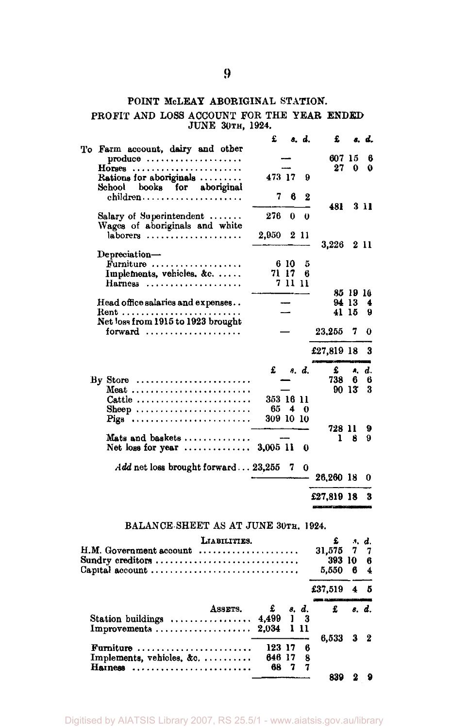## POINT McLEAY ABORIGINAL STATION.

## PROFIT AND LOSS ACCOUNT FOR THE YEAR ENDED<br>JUNE 30TH, 1924.

|                                                                                                        | £         |        | 8. d.    | £          |                   | s. d. |
|--------------------------------------------------------------------------------------------------------|-----------|--------|----------|------------|-------------------|-------|
| To Farm account, dairy and other<br>produce                                                            |           |        |          | 607 15     |                   | 6     |
| $H$ orses                                                                                              |           |        |          | 27         | 0                 | 0     |
| Rations for aboriginals<br>School books for aboriginal                                                 | 473 17    |        | я        |            |                   |       |
| children                                                                                               | 7         | 6      | 2        | 481        |                   | 3 11  |
| Salary of Superintendent $\ldots$<br>Wages of aboriginals and white                                    | 276       | 0      | 0        |            |                   |       |
| laborers                                                                                               | 2.950     |        | 2 11     | 3,226      |                   | 211   |
| Depreciation-                                                                                          |           |        |          |            |                   |       |
| Furniture                                                                                              |           | 6 10   | 5        |            |                   |       |
| Implements, vehicles. &c.                                                                              |           | 71 17  | 6        |            |                   |       |
| Harness                                                                                                |           | 711 11 |          |            |                   |       |
| Head office salaries and expenses                                                                      |           |        |          |            | 85 19 16<br>94 13 | 4     |
| Rent                                                                                                   |           |        |          |            | 41 15             | 9     |
| Net loss from 1915 to 1923 brought                                                                     |           |        |          |            |                   |       |
|                                                                                                        |           |        |          | 23,255     | 7                 | 0     |
|                                                                                                        |           |        |          | £27,819 18 |                   | 3     |
|                                                                                                        | £         |        | s. d.    | £          |                   | s. d. |
| By Store $\dots\dots\dots\dots\dots\dots\dots\dots\dots$                                               |           |        |          | 738        | 6                 | 6     |
| Meat                                                                                                   |           |        |          |            | 90 13             | 3     |
| Cattle                                                                                                 | 353 16 11 |        |          |            |                   |       |
| Sheep                                                                                                  |           | 654    | 0        |            |                   |       |
| Pigs                                                                                                   | 309 10 10 |        |          |            |                   |       |
|                                                                                                        |           |        |          | 728 11     |                   | 9     |
| Mats and baskets $\dots \dots \dots \dots$<br>Net loss for year $\ldots \ldots \ldots \ldots$ 3,005 11 |           |        | 0        | 1          | 8                 | 9     |
| Add net loss brought forward $23,255$                                                                  |           | 7      | $\bf{0}$ | 26,260 18  |                   | 0     |
|                                                                                                        |           |        |          | £27,819 18 |                   | 3     |

|                                                                    | LIABILITIES.     |        |      |   | £                |     | $\mathbf{A}$ . |
|--------------------------------------------------------------------|------------------|--------|------|---|------------------|-----|----------------|
| $H.M. Goverment account \dots \dots \dots \dots \dots \dots \dots$ |                  |        |      |   | 31,575 7 7       |     |                |
| Sundry creditors                                                   |                  |        |      |   | 393 10 6         |     |                |
| Capital account                                                    |                  |        |      |   | 5,550            | - 6 | $\overline{4}$ |
|                                                                    |                  |        |      |   | £37.519          | 45  |                |
|                                                                    | ASSETS. $f$ s.d. |        |      |   | $\mathbf{f}$ and |     |                |
| Station buildings  4,499 1 3                                       |                  |        |      |   |                  |     |                |
| Improvements $2.034$ 1 11                                          |                  |        |      |   |                  |     |                |
|                                                                    |                  |        |      |   | 6,533 3 2        |     |                |
| Furniture                                                          |                  | 123 17 |      | 6 |                  |     |                |
| Implements, vehicles, $\&c$ ,                                      |                  | 646 17 |      | 8 |                  |     |                |
| Hainess                                                            |                  | 68.    | - 73 |   |                  |     |                |
|                                                                    |                  |        |      |   | 839              |     |                |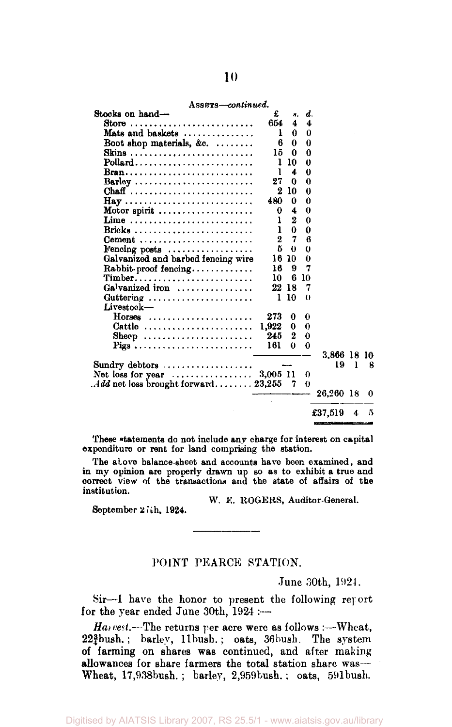| Stocks on hand-<br>£<br>d.<br>н.<br>654<br>4<br>Store $\ldots \ldots \ldots \ldots \ldots \ldots \ldots \ldots$<br>$\overline{\mathbf{4}}$<br>Mats and baskets $\dots\dots\dots\dots$<br>0<br>0<br>ı<br>Boot shop materials, &c. $\ldots$<br>0<br>6<br>0<br>1õ.<br>Skins<br>0<br>0<br>ı<br>10<br>0<br>ı<br>4<br>$\bf{0}$<br>27<br>0<br>0<br>Barley<br>$\boldsymbol{2}$<br>10<br>$\bf{0}$<br>Chaff<br>480<br>0<br>0<br>$\bf{0}$<br>Motor spirit $\ldots \ldots \ldots \ldots \ldots$<br>4<br>0<br>$\overline{2}$<br>ı<br>Lime<br>$\Omega$<br>$\Omega$<br>ı<br>0<br>2<br>7<br>6<br>Coment<br>5<br>0<br>$\theta$<br>Fencing posts $\dots\dots\dots\dots\dots\dots$<br>Galvanized and barbed fencing wire<br>16<br>10<br>0<br>7<br>16<br>9<br>$Rabbit$ -proof fencing<br>$Timeber \ldots \ldots \ldots \ldots \ldots$<br>10<br>6<br>10<br>Galvanized iron<br>22 18<br>7<br>10<br>1<br>Guttering $\ldots \ldots \ldots \ldots \ldots \ldots$<br>$_{0}$<br>Livestock-<br>273<br>Horses<br>$\bf{0}$<br>0<br>1.922<br>Cattle<br>0<br>0<br>$\bf{2}$<br>245<br>0<br>Sheep<br>161<br>0<br>$\bf{0}$<br>Pigs<br>3.866 18 10<br>19<br>L<br>Net loss for year $\ldots \ldots \ldots \ldots 3,005$ 11<br>0<br>7<br>0<br>26,260 18 | ASSETS-continued. |  |         |   |
|-------------------------------------------------------------------------------------------------------------------------------------------------------------------------------------------------------------------------------------------------------------------------------------------------------------------------------------------------------------------------------------------------------------------------------------------------------------------------------------------------------------------------------------------------------------------------------------------------------------------------------------------------------------------------------------------------------------------------------------------------------------------------------------------------------------------------------------------------------------------------------------------------------------------------------------------------------------------------------------------------------------------------------------------------------------------------------------------------------------------------------------------------------------------------------------------------------------------|-------------------|--|---------|---|
| Sundry debtors $\dots\dots\dots\dots\dots\dots$<br>Add net loss brought forward 23,255                                                                                                                                                                                                                                                                                                                                                                                                                                                                                                                                                                                                                                                                                                                                                                                                                                                                                                                                                                                                                                                                                                                            |                   |  |         |   |
|                                                                                                                                                                                                                                                                                                                                                                                                                                                                                                                                                                                                                                                                                                                                                                                                                                                                                                                                                                                                                                                                                                                                                                                                                   |                   |  |         |   |
|                                                                                                                                                                                                                                                                                                                                                                                                                                                                                                                                                                                                                                                                                                                                                                                                                                                                                                                                                                                                                                                                                                                                                                                                                   |                   |  |         |   |
|                                                                                                                                                                                                                                                                                                                                                                                                                                                                                                                                                                                                                                                                                                                                                                                                                                                                                                                                                                                                                                                                                                                                                                                                                   |                   |  |         |   |
|                                                                                                                                                                                                                                                                                                                                                                                                                                                                                                                                                                                                                                                                                                                                                                                                                                                                                                                                                                                                                                                                                                                                                                                                                   |                   |  |         |   |
|                                                                                                                                                                                                                                                                                                                                                                                                                                                                                                                                                                                                                                                                                                                                                                                                                                                                                                                                                                                                                                                                                                                                                                                                                   |                   |  |         |   |
|                                                                                                                                                                                                                                                                                                                                                                                                                                                                                                                                                                                                                                                                                                                                                                                                                                                                                                                                                                                                                                                                                                                                                                                                                   |                   |  |         |   |
|                                                                                                                                                                                                                                                                                                                                                                                                                                                                                                                                                                                                                                                                                                                                                                                                                                                                                                                                                                                                                                                                                                                                                                                                                   |                   |  |         |   |
|                                                                                                                                                                                                                                                                                                                                                                                                                                                                                                                                                                                                                                                                                                                                                                                                                                                                                                                                                                                                                                                                                                                                                                                                                   |                   |  |         |   |
|                                                                                                                                                                                                                                                                                                                                                                                                                                                                                                                                                                                                                                                                                                                                                                                                                                                                                                                                                                                                                                                                                                                                                                                                                   |                   |  |         |   |
|                                                                                                                                                                                                                                                                                                                                                                                                                                                                                                                                                                                                                                                                                                                                                                                                                                                                                                                                                                                                                                                                                                                                                                                                                   |                   |  |         |   |
|                                                                                                                                                                                                                                                                                                                                                                                                                                                                                                                                                                                                                                                                                                                                                                                                                                                                                                                                                                                                                                                                                                                                                                                                                   |                   |  |         |   |
|                                                                                                                                                                                                                                                                                                                                                                                                                                                                                                                                                                                                                                                                                                                                                                                                                                                                                                                                                                                                                                                                                                                                                                                                                   |                   |  |         |   |
|                                                                                                                                                                                                                                                                                                                                                                                                                                                                                                                                                                                                                                                                                                                                                                                                                                                                                                                                                                                                                                                                                                                                                                                                                   |                   |  |         |   |
|                                                                                                                                                                                                                                                                                                                                                                                                                                                                                                                                                                                                                                                                                                                                                                                                                                                                                                                                                                                                                                                                                                                                                                                                                   |                   |  |         |   |
|                                                                                                                                                                                                                                                                                                                                                                                                                                                                                                                                                                                                                                                                                                                                                                                                                                                                                                                                                                                                                                                                                                                                                                                                                   |                   |  |         |   |
|                                                                                                                                                                                                                                                                                                                                                                                                                                                                                                                                                                                                                                                                                                                                                                                                                                                                                                                                                                                                                                                                                                                                                                                                                   |                   |  |         |   |
|                                                                                                                                                                                                                                                                                                                                                                                                                                                                                                                                                                                                                                                                                                                                                                                                                                                                                                                                                                                                                                                                                                                                                                                                                   |                   |  |         |   |
|                                                                                                                                                                                                                                                                                                                                                                                                                                                                                                                                                                                                                                                                                                                                                                                                                                                                                                                                                                                                                                                                                                                                                                                                                   |                   |  |         |   |
|                                                                                                                                                                                                                                                                                                                                                                                                                                                                                                                                                                                                                                                                                                                                                                                                                                                                                                                                                                                                                                                                                                                                                                                                                   |                   |  |         |   |
|                                                                                                                                                                                                                                                                                                                                                                                                                                                                                                                                                                                                                                                                                                                                                                                                                                                                                                                                                                                                                                                                                                                                                                                                                   |                   |  |         |   |
|                                                                                                                                                                                                                                                                                                                                                                                                                                                                                                                                                                                                                                                                                                                                                                                                                                                                                                                                                                                                                                                                                                                                                                                                                   |                   |  |         |   |
|                                                                                                                                                                                                                                                                                                                                                                                                                                                                                                                                                                                                                                                                                                                                                                                                                                                                                                                                                                                                                                                                                                                                                                                                                   |                   |  |         |   |
|                                                                                                                                                                                                                                                                                                                                                                                                                                                                                                                                                                                                                                                                                                                                                                                                                                                                                                                                                                                                                                                                                                                                                                                                                   |                   |  |         |   |
|                                                                                                                                                                                                                                                                                                                                                                                                                                                                                                                                                                                                                                                                                                                                                                                                                                                                                                                                                                                                                                                                                                                                                                                                                   |                   |  |         |   |
|                                                                                                                                                                                                                                                                                                                                                                                                                                                                                                                                                                                                                                                                                                                                                                                                                                                                                                                                                                                                                                                                                                                                                                                                                   |                   |  |         |   |
|                                                                                                                                                                                                                                                                                                                                                                                                                                                                                                                                                                                                                                                                                                                                                                                                                                                                                                                                                                                                                                                                                                                                                                                                                   |                   |  |         | я |
|                                                                                                                                                                                                                                                                                                                                                                                                                                                                                                                                                                                                                                                                                                                                                                                                                                                                                                                                                                                                                                                                                                                                                                                                                   |                   |  |         |   |
|                                                                                                                                                                                                                                                                                                                                                                                                                                                                                                                                                                                                                                                                                                                                                                                                                                                                                                                                                                                                                                                                                                                                                                                                                   |                   |  |         |   |
|                                                                                                                                                                                                                                                                                                                                                                                                                                                                                                                                                                                                                                                                                                                                                                                                                                                                                                                                                                                                                                                                                                                                                                                                                   |                   |  |         | 0 |
|                                                                                                                                                                                                                                                                                                                                                                                                                                                                                                                                                                                                                                                                                                                                                                                                                                                                                                                                                                                                                                                                                                                                                                                                                   |                   |  | £37,519 | 5 |

These statements do not include any charge for interest on capital expenditure or rent for land comprising the station.

The above balance-sheet and accounts have been examined, and in my opinion are properly drawn up so as to exhibit a true and correct view of the transactions and the state of affairs of the institution.

W. E. ROGERS, Auditor-General.

September 27th, 1924.

## POINT PEARCE STATION.

June 30th, 1921.

Sir—I have the honor to present the following report for the year ended June 30th, 1924 :—

*Harvest.*—The returns per acre were as follows :—Wheat, 22\{{bush.; barley, 11bush.; oats, 36bush. The system of farming on shares was continued, and after making allowances for share farmers the total station share was—Wheat, 17,938bush.; barley, 2,959bush.; oats, 591bush.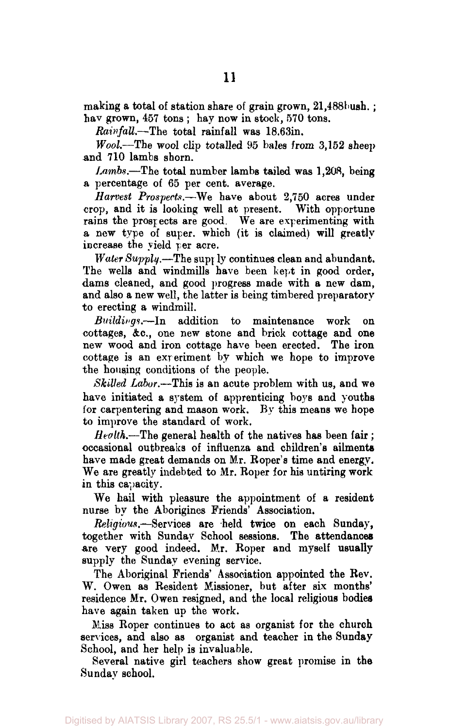making a total of station share of grain grown, 21,488 bush.; hav grown, 457 tons; hay now in stock, 570 tons.

*Rainfall.*—The total rainfall was 18.63in.

*Wool.*—The wool clip totalled 95 bales from 3,152 sheep and 710 lambs shorn.

*Lambs.*—The total number lambs tailed was 1,208, being a percentage of 65 per cent, average.

*Harvest Prospects.*—We have about 2,750 acres under crop, and it is looking well at present. With opportune rains the prospects are good. We are experimenting with a new type of super, which (it is claimed) will greatly increase the yield per acre.

*Water Supply.*—The supply continues clean and abundant. The wells and windmills have been kept in good order, dams cleaned, and good progress made with a new dam, and also a new well, the latter is being timbered preparatory to erecting a windmill.

*Buildings.*—In addition to maintenance work on cottages, &c, one new stone and brick cottage and one new wood and iron cottage have been erected. The iron cottage is an experiment by which we hope to improve the housing conditions of the people.

*Skilled Labor.*—This is an acute problem with us, and we have initiated a system of apprenticing boys and youths for carpentering and mason work. By this means we hope to improve the standard of work.

*Health.*—The general health of the natives has been fair ; occasional outbreaks of influenza and children's ailments have made great demands on Mr. Roper's time and energy. We are greatly indebted to Mr. Roper for his untiring work in this capacity.

We hail with pleasure the appointment of a resident nurse by the Aborigines Friends' Association.

*Religious.*—Services are held twice on each Sunday, together with. Sunday School sessions. The attendances are very good indeed. Mr. Roper and myself usually supply the Sunday evening service.

The Aboriginal Friends' Association appointed the Rev. W. Owen as Resident Missioner, but after six months' residence Mr. Owen resigned, and the local religious bodies have again taken up the work.

Miss Roper continues to act as organist for the church services, and also as organist and teacher in the Sunday School, and her help is invaluable.

Several native girl teachers show great promise in the Sunday school.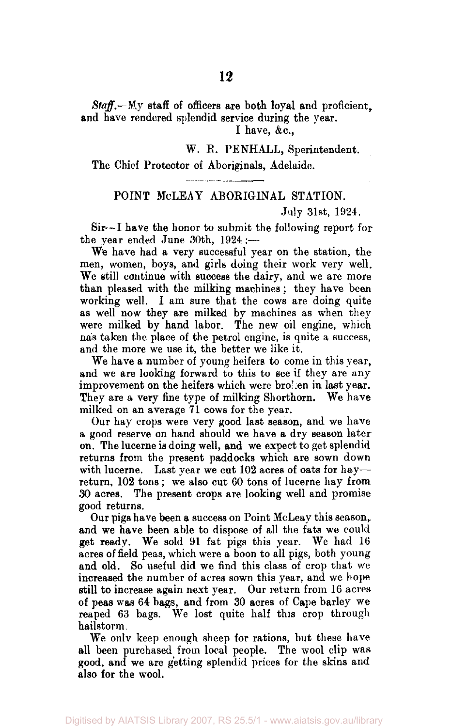## *Staff.—*My staff of officers are both loyal and proficient, and have rendered splendid service during the year.

I have,  $&c.,$ 

## W. R. PENHALL, Sperintendent.

## The Chief Protector of Aboriginals, Adelaide.

## POINT McLEAY ABORIGINAL STATION.

#### July 31st, 1924.

Sir—I have the honor to submit the following report for the year ended June 30th, 1924 :—

We have had a very successful year on the station, the men, women, boys, and girls doing their work very well. We still continue with success the dairy, and we are more than pleased with the milking machines; they have been working well. I am sure that the cows are doing quite as well now they are milked by machines as when they were milked by hand labor. The new oil engine, which has taken the place of the petrol engine, is quite a success, and the more we use it, the better we like it.

We have a number of young heifers to come in this year, and we are looking forward to this to see if they are any improvement on the heifers which were broken in last year. They are a very fine type of milking Shorthorn. We have milked on an average 71 cows for the year.

Our hay crops were very good last season, and we have a good reserve on hand should we have a dry season later on. The lucerne is doing well, and we expect to get splendid returns from the present paddocks which are sown down with lucerne. Last year we cut 102 acres of oats for hay return, 102 tons; we also cut 60 tons of lucerne hay from 30 acres. The present crops are looking well and promise good returns.

Our pigs have been a success on Point McLeay this season,. and we have been able to dispose of all the fats we could get ready. We sold 91 fat pigs this year. We had 16 acres of field peas, which were a boon to all pigs, both young and old. So useful did we find this class of crop that we increased the number of acres sown this year, and we hope still to increase again next year. Our return from 16 acres of peas was 64 bags, and from 30 acres of Cape barley we reaped 63 bags. We lost quite half this crop through hailstorm.

We only keep enough sheep for rations, but these have all been purchased from local people. The wool clip was good, and we are getting splendid prices for the skins and also for the wool.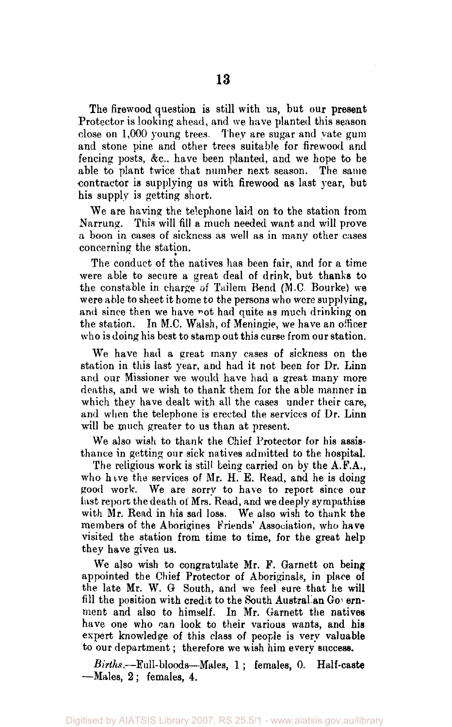The firewood question is still with us, but our present Protector is looking ahead, and we have planted this season close on 1,000 young trees. They are sugar and yate gum and stone pine and other trees suitable for firewood and fencing posts, &c. have been planted, and we hope to be able to plant twice that number next season. The same contractor is supplying us with firewood as last year, but his supply is getting short.

We are having the telephone laid on to the station from Narrung. This will fill a much needed want and will prove a boon in cases of sickness as well as in many other cases concerning the station.

The conduct of the natives has been fair, and for a time were able to secure a great deal of drink, but thanks to the constable in charge of Tailem Bend (M.C. Bourke) we were able to sheet it home to the persons who were supplying, and since then we have not had quite as much drinking on the station. In M.C. Walsh, of Meningie, we have an officer who is doing his best to stamp out this curse from our station.

We have had a great many cases of sickness on the station in this last year, and had it not been for Dr. Linn and our Missioner we would have had a great many more deaths, and we wish to thank them for the able manner in which they have dealt with all the cases under their care, and when the telephone is erected the services of Dr. Linn will be much greater to us than at present.

We also wish to thank the Chief Protector for his assisthance in getting our sick natives admitted to the hospital.

The religious work is still being carried on by the A.F.A., who have the services of Mr. H. E. Read, and he is doing good work. We are sorry to have to report since our last report the death of Mrs. Read, and we deeply sympathise with Mr. Read in his sad loss. We also wish to thank the members of the Aborigines Friends' Association, who have visited the station from time to time, for the great help they have given us.

We also wish to congratulate Mr. F. Garnett on being appointed the Chief Protector of Aboriginals, in place of the late Mr. W. G South, and we feel sure that he will fill the position with credit to the South Austral an Government and also to himself. In Mr. Garnett the natives have one who can look to their various wants, and his expert knowledge of this class of people is very valuable to our department; therefore we wish him every success.

*Births.*—Full-bloods—Males, 1; females, 0. Half-caste —Males, 2 ; females, 4.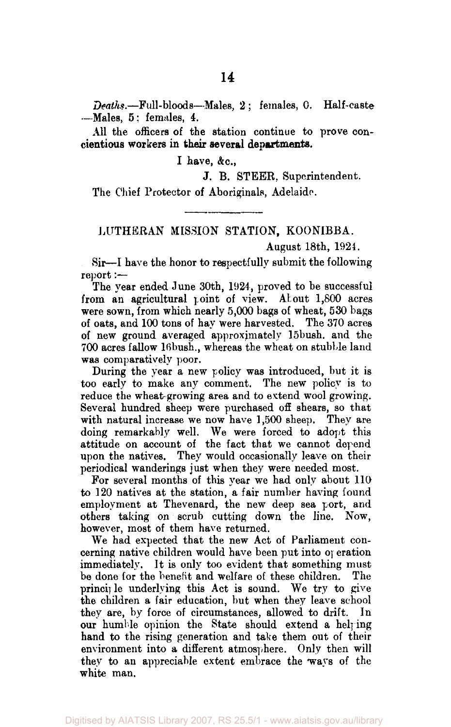*Deaths.*—Full-bloods—Males, 2 ; females, 0. Half-caste —Males, 5; females, *4.* 

All the officers of the station continue to prove concientious workers in **their several departments.** 

**I** have, &c,

J. B. STEER, Superintendent.

The Chief Protector of Aboriginals, Adelaide.

## LUTHERAN MISSION STATION, KOONIBBA.

## August 18th, 1921.

Sir—I have the honor to respectfully submit the following report :—-

The year ended June 30th, 1924, proved to be successful from an agricultural point of view. About 1,800 acres were sown, from which nearly 5,000 bags of wheat, 530 bags of oats, and 100 tons of hay were harvested. The 370 acres of new ground averaged approximately 15bush. and the 700 acres fallow 16 bush, whereas the wheat on stubble land was comparatively poor.

During the year a new policy was introduced, but it is too early to make any comment. The new policy is to reduce the wheat growing area and to extend wool growing. Several hundred sheep were purchased off shears, so that with natural increase we now have 1,500 sheep. They are doing remarkably well. We were forced to adopt this attitude on account of the fact that we cannot depend upon the natives. They would occasionally leave on their periodical wanderings just when they were needed most.

For several months of this year we had only about 110 to 120 natives at the station, a fair number having found employment at Thevenard, the new deep sea port, and others taking on scrub cutting down the line. Now, however, most of them have returned.

We had expected that the new Act of Parliament concerning native children would have been put into operation immediately. It is only too evident that something must be done for the benefit and welfare of these children. The principle underlying this Act is sound. We try to give the children a fair education, but when they leave school they are, by force of circumstances, allowed to drift. In our humble opinion the State should extend a helping hand to the rising generation and take them out of their environment into a different atmosphere. Only then will they to an appreciable extent embrace the ways of the white man.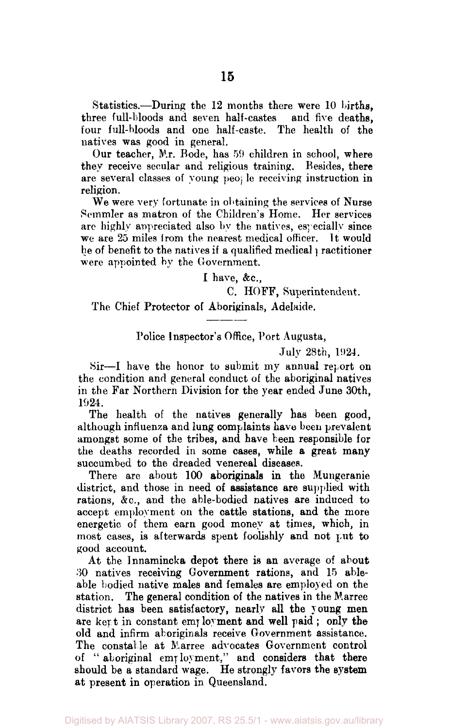Statistics.—During the 12 months there were 10 births, three full-bloods and seven half-castes and five deaths, four full-bloods and one half-caste. natives was good in general.

Our teacher, Mr. Bode, has 59 children in school, where they receive secular and religious training. Besides, there are several classes of young people receiving instruction in religion.

We were very fortunate in obtaining the services of Nurse Semmler as matron of the Children's Home. Her services are highly appreciated also by the natives, especially since we are 25 miles from the nearest medical officer. It would be of benefit to the natives if a qualified medical practitioner were appointed by the Government.

I have, &c.,

C. HOFF, Superintendent.

The Chief Protector of Aboriginals, Adelaide.

Police Inspector's Office, Port Augusta,

July 28th, 1924.

Sir—I have the honor to submit my annual report on the condition and general conduct of the aboriginal natives in the Far Northern Division for the year ended June 30th, 1924.

The health of the natives generally has been good, although influenza and lung complaints have been prevalent amongst some of the tribes, and have been responsible for the deaths recorded in some cases, while a great many succumbed to the dreaded venereal diseases.

There are about 100 aboriginals in the Mungeranie district, and those in need of assistance are supplied with rations, &c, and the able-bodied natives are induced to accept employment on the cattle stations, and the more energetic of them earn good money at times, which, in most cases, is afterwards spent foolishly and not put to good account.

At the lnnamincka depot there is an average of about 30 natives receiving Government rations, and 15 ableable bodied native males and females are employed on the station. The general condition of the natives in the Marree district has been satisfactory, nearly all the young men are kept in constant employment and well paid; only the old and infirm aboriginals receive Government assistance. The constable at Marree advocates Government control of " aboriginal employment," and considers that there should be a standard wage. He strongly favors the system at present in operation in Queensland.